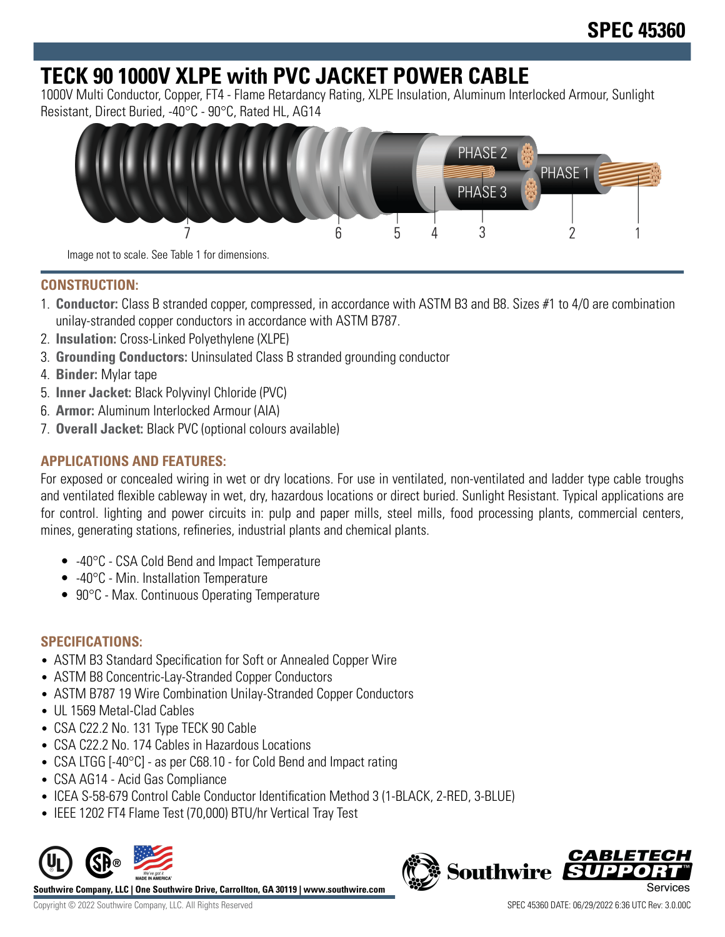# **TECK 90 1000V XLPE with PVC JACKET POWER CABLE**

1000V Multi Conductor, Copper, FT4 - Flame Retardancy Rating, XLPE Insulation, Aluminum Interlocked Armour, Sunlight Resistant, Direct Buried, -40°C - 90°C, Rated HL, AG14



### **CONSTRUCTION:**

- 1. **Conductor:** Class B stranded copper, compressed, in accordance with ASTM B3 and B8. Sizes #1 to 4/0 are combination unilay-stranded copper conductors in accordance with ASTM B787.
- 2. **Insulation:** Cross-Linked Polyethylene (XLPE)
- 3. **Grounding Conductors:** Uninsulated Class B stranded grounding conductor
- 4. **Binder:** Mylar tape
- 5. **Inner Jacket:** Black Polyvinyl Chloride (PVC)
- 6. **Armor:** Aluminum Interlocked Armour (AIA)
- 7. **Overall Jacket:** Black PVC (optional colours available)

## **APPLICATIONS AND FEATURES:**

For exposed or concealed wiring in wet or dry locations. For use in ventilated, non-ventilated and ladder type cable troughs and ventilated flexible cableway in wet, dry, hazardous locations or direct buried. Sunlight Resistant. Typical applications are for control. lighting and power circuits in: pulp and paper mills, steel mills, food processing plants, commercial centers, mines, generating stations, refineries, industrial plants and chemical plants.

- -40°C CSA Cold Bend and Impact Temperature
- -40°C Min. Installation Temperature
- 90°C Max. Continuous Operating Temperature

### **SPECIFICATIONS:**

- ASTM B3 Standard Specification for Soft or Annealed Copper Wire
- ASTM B8 Concentric-Lay-Stranded Copper Conductors
- ASTM B787 19 Wire Combination Unilay-Stranded Copper Conductors
- UL 1569 Metal-Clad Cables
- CSA C22.2 No. 131 Type TECK 90 Cable
- CSA C22.2 No. 174 Cables in Hazardous Locations
- CSA LTGG [-40°C] as per C68.10 for Cold Bend and Impact rating
- CSA AG14 Acid Gas Compliance
- ICEA S-58-679 Control Cable Conductor Identification Method 3 (1-BLACK, 2-RED, 3-BLUE)
- IEEE 1202 FT4 Flame Test (70,000) BTU/hr Vertical Tray Test



**Southwire Company, LLC | One Southwire Drive, Carrollton, GA 30119 | www.southwire.com**